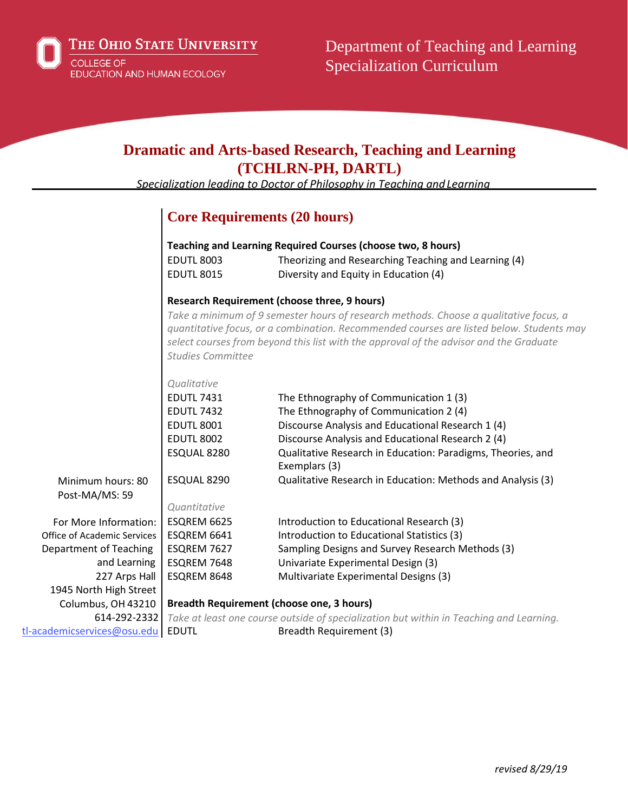## **Dramatic and Arts-based Research, Teaching and Learning (TCHLRN-PH, DARTL)**

*Specialization leading to Doctor of Philosophy in Teaching andLearning*

## **Core Requirements (20 hours)**

| <b>Teaching and Learning Required Courses (choose two, 8 hours)</b> |                                                      |  |
|---------------------------------------------------------------------|------------------------------------------------------|--|
| <b>EDUTL 8003</b>                                                   | Theorizing and Researching Teaching and Learning (4) |  |
| <b>EDUTL 8015</b>                                                   | Diversity and Equity in Education (4)                |  |

#### **Research Requirement (choose three, 9 hours)**

*Take a minimum of 9 semester hours of research methods. Choose a qualitative focus, a quantitative focus, or a combination. Recommended courses are listed below. Students may select courses from beyond this list with the approval of the advisor and the Graduate Studies Committee*

|                             | Qualitative                                      |                                                                                         |
|-----------------------------|--------------------------------------------------|-----------------------------------------------------------------------------------------|
|                             | <b>EDUTL 7431</b>                                | The Ethnography of Communication 1 (3)                                                  |
|                             | <b>EDUTL 7432</b>                                | The Ethnography of Communication 2 (4)                                                  |
|                             | <b>EDUTL 8001</b>                                | Discourse Analysis and Educational Research 1 (4)                                       |
|                             | <b>EDUTL 8002</b>                                | Discourse Analysis and Educational Research 2 (4)                                       |
|                             | ESQUAL 8280                                      | Qualitative Research in Education: Paradigms, Theories, and                             |
|                             |                                                  | Exemplars (3)                                                                           |
| Minimum hours: 80           | ESQUAL 8290                                      | Qualitative Research in Education: Methods and Analysis (3)                             |
| Post-MA/MS: 59              |                                                  |                                                                                         |
|                             | Quantitative                                     |                                                                                         |
| For More Information:       | ESQREM 6625                                      | Introduction to Educational Research (3)                                                |
| Office of Academic Services | ESQREM 6641                                      | Introduction to Educational Statistics (3)                                              |
| Department of Teaching      | ESQREM 7627                                      | Sampling Designs and Survey Research Methods (3)                                        |
| and Learning                | ESQREM 7648                                      | Univariate Experimental Design (3)                                                      |
| 227 Arps Hall               | ESQREM 8648                                      | Multivariate Experimental Designs (3)                                                   |
| 1945 North High Street      |                                                  |                                                                                         |
| Columbus, OH 43210          | <b>Breadth Requirement (choose one, 3 hours)</b> |                                                                                         |
| 614-292-2332                |                                                  | Take at least one course outside of specialization but within in Teaching and Learning. |
| tl-academicservices@osu.edu | <b>EDUTL</b>                                     | Breadth Requirement (3)                                                                 |